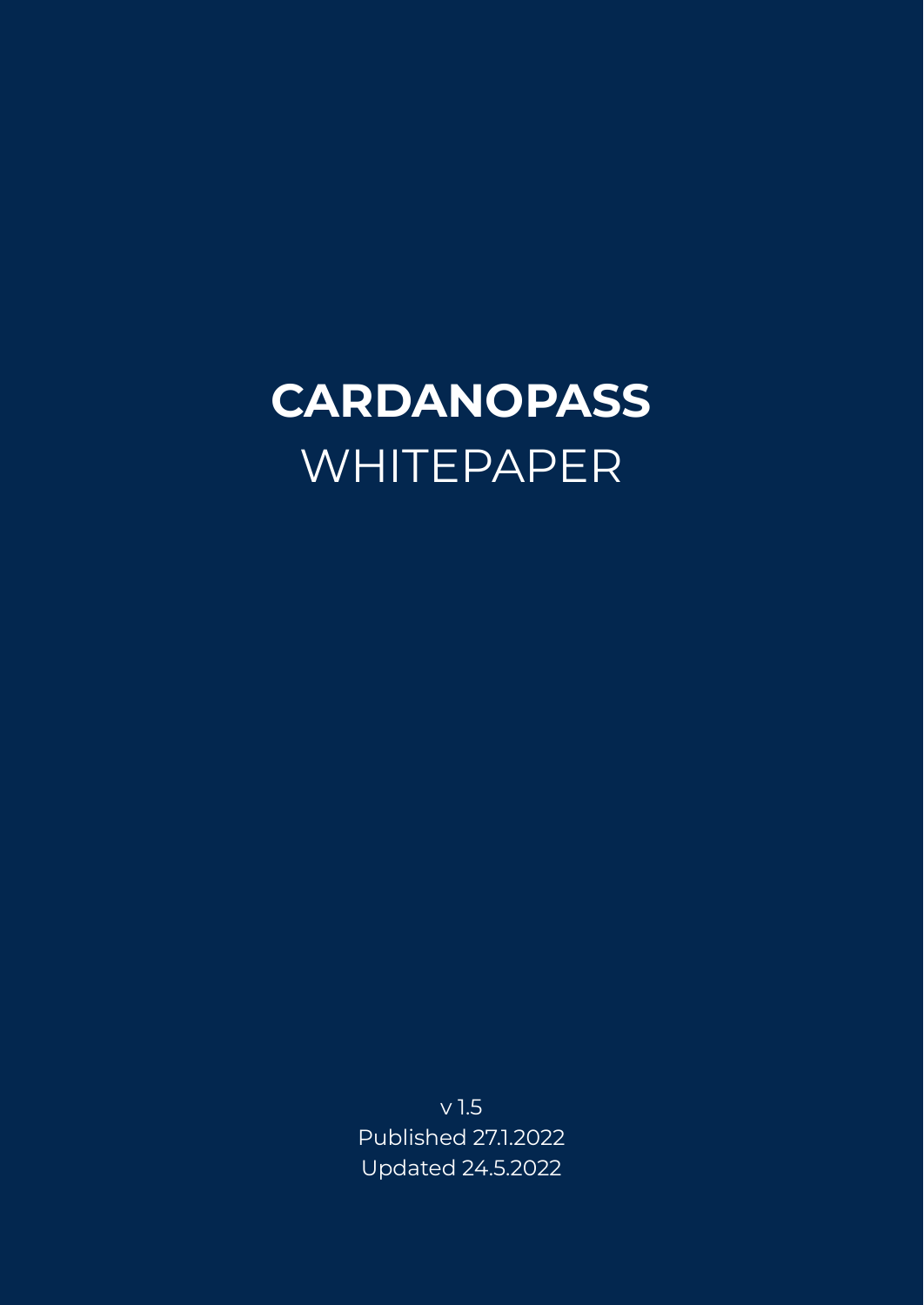# **CARDANOPASS** WHITEPAPER

v 1.5 Published 27.1.2022 Updated 24.5.2022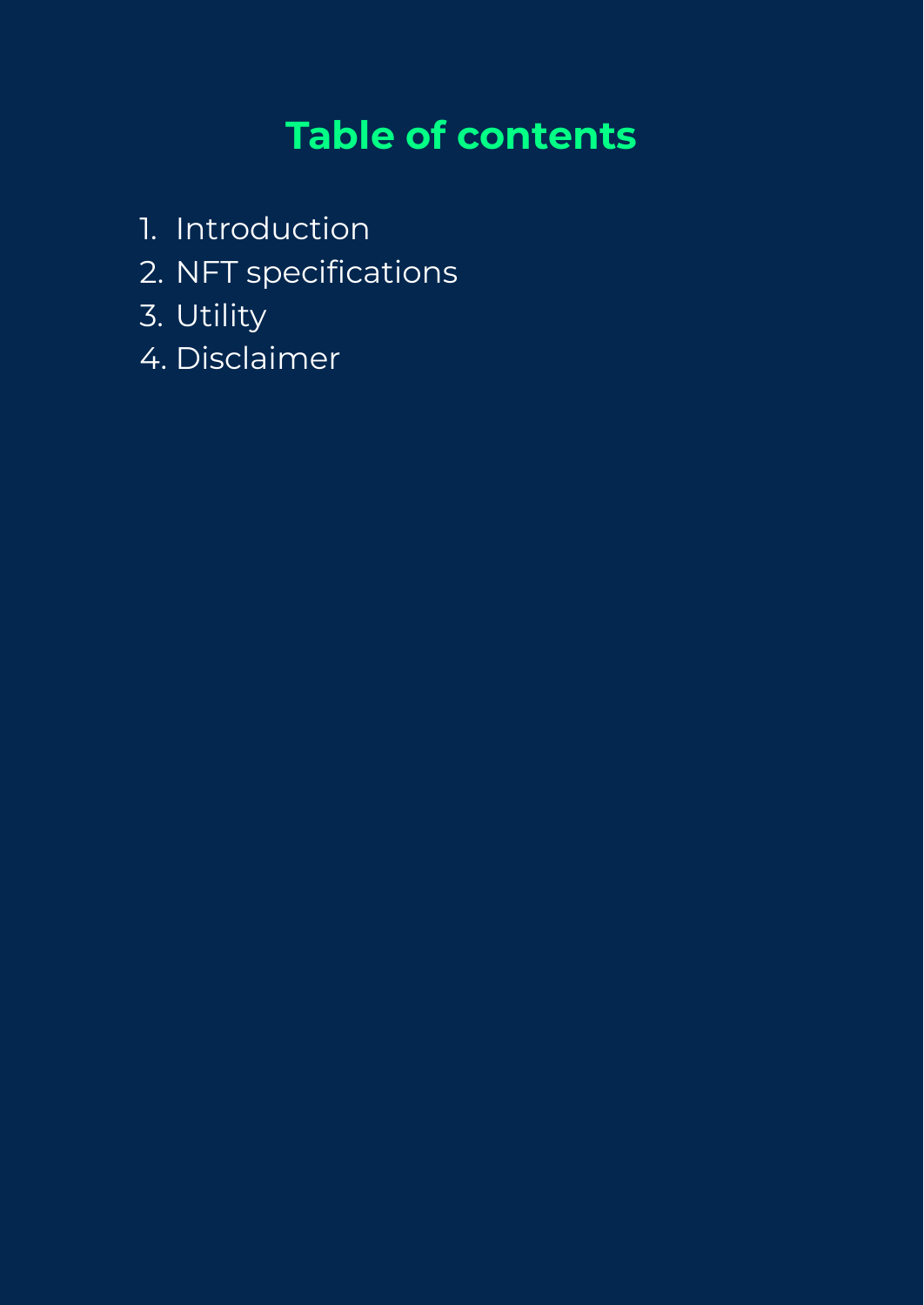### **Table of contents**

- 1. Introduction
- 2. NFT specifications
- 3. Utility
- 4. Disclaimer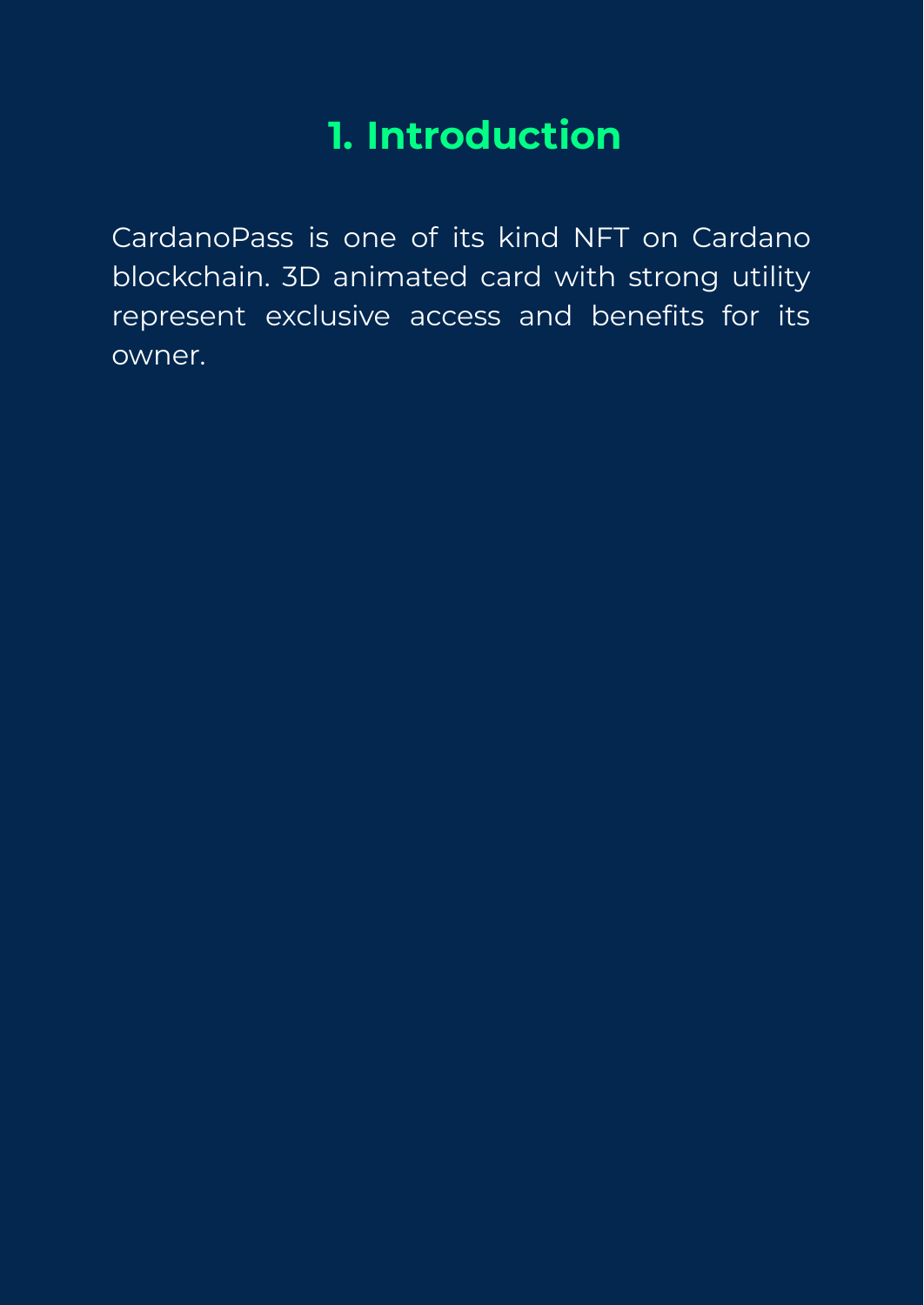### **1. Introduction**

CardanoPass is one of its kind NFT on Cardano blockchain. 3D animated card with strong utility represent exclusive access and benefits for its owner.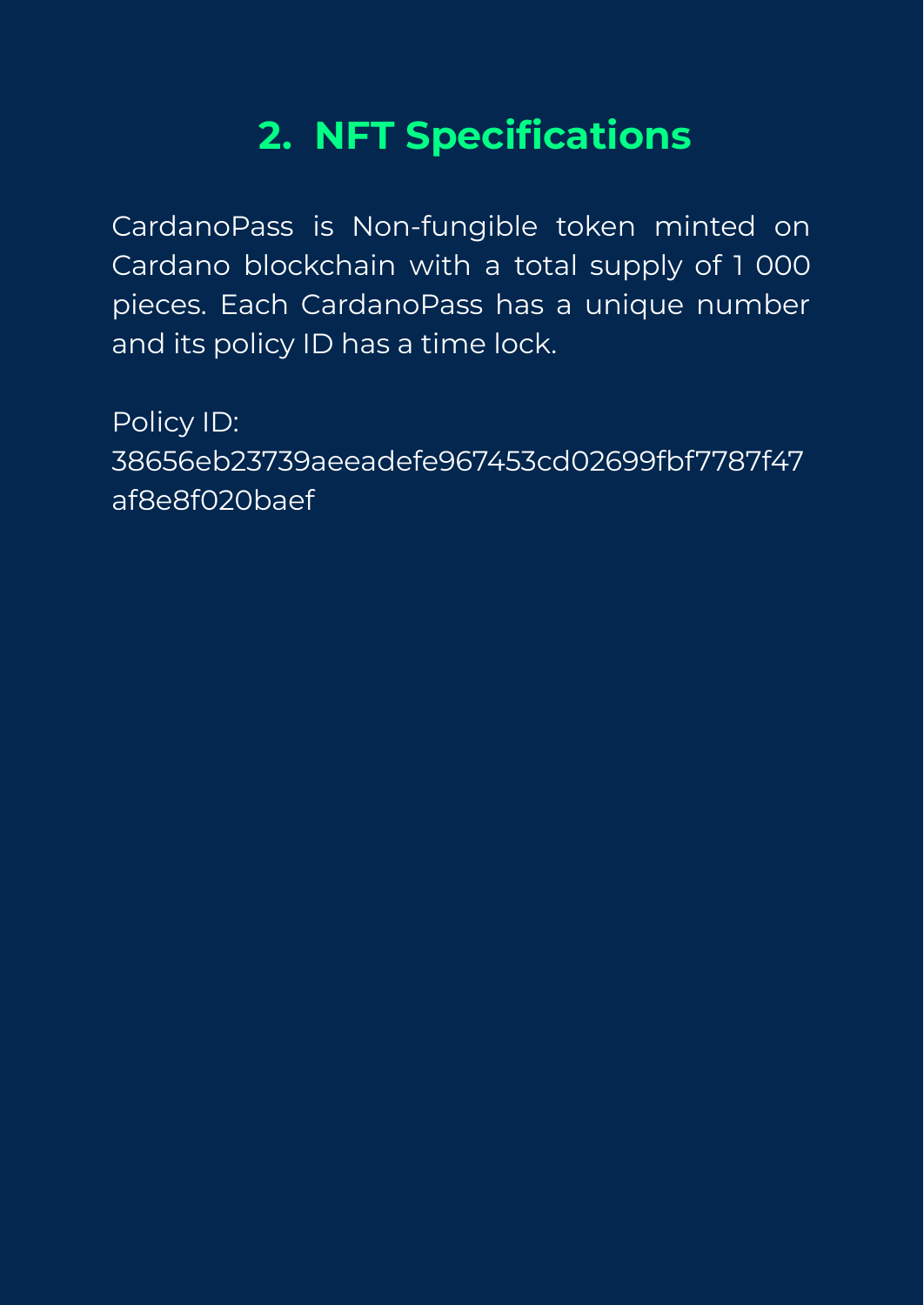# **2. NFT Specifications**

CardanoPass is Non-fungible token minted on Cardano blockchain with a total supply of 1 000 pieces. Each CardanoPass has a unique number and its policy ID has a time lock.

Policy ID: 38656eb23739aeeadefe967453cd02699fbf7787f47 af8e8f020baef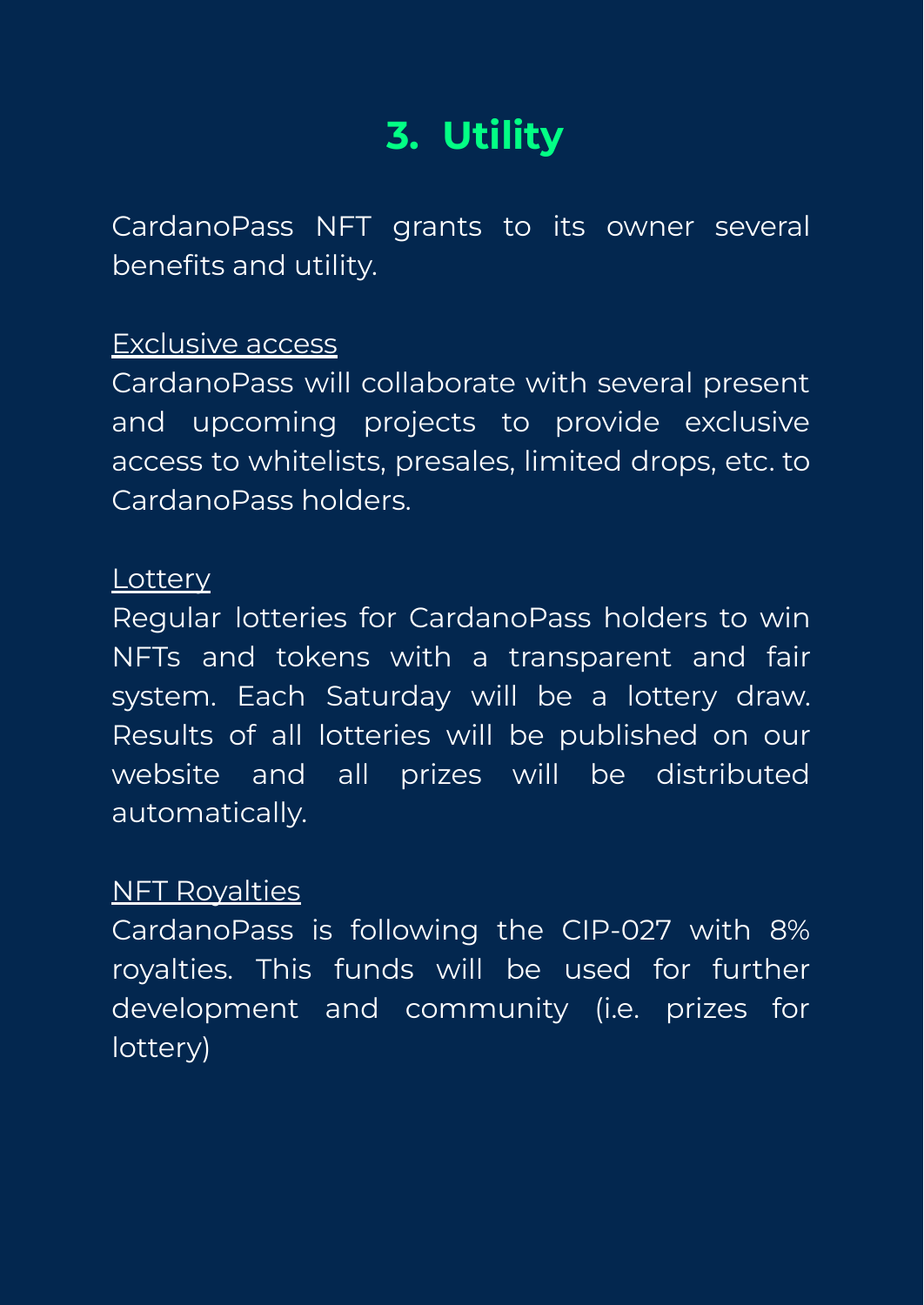# **3. Utility**

CardanoPass NFT grants to its owner several benefits and utility.

#### Exclusive access

CardanoPass will collaborate with several present and upcoming projects to provide exclusive access to whitelists, presales, limited drops, etc. to CardanoPass holders.

#### **Lottery**

Regular lotteries for CardanoPass holders to win NFTs and tokens with a transparent and fair system. Each Saturday will be a lottery draw. Results of all lotteries will be published on our website and all prizes will be distributed automatically.

#### NFT Royalties

CardanoPass is following the CIP-027 with 8% royalties. This funds will be used for further development and community (i.e. prizes for lottery)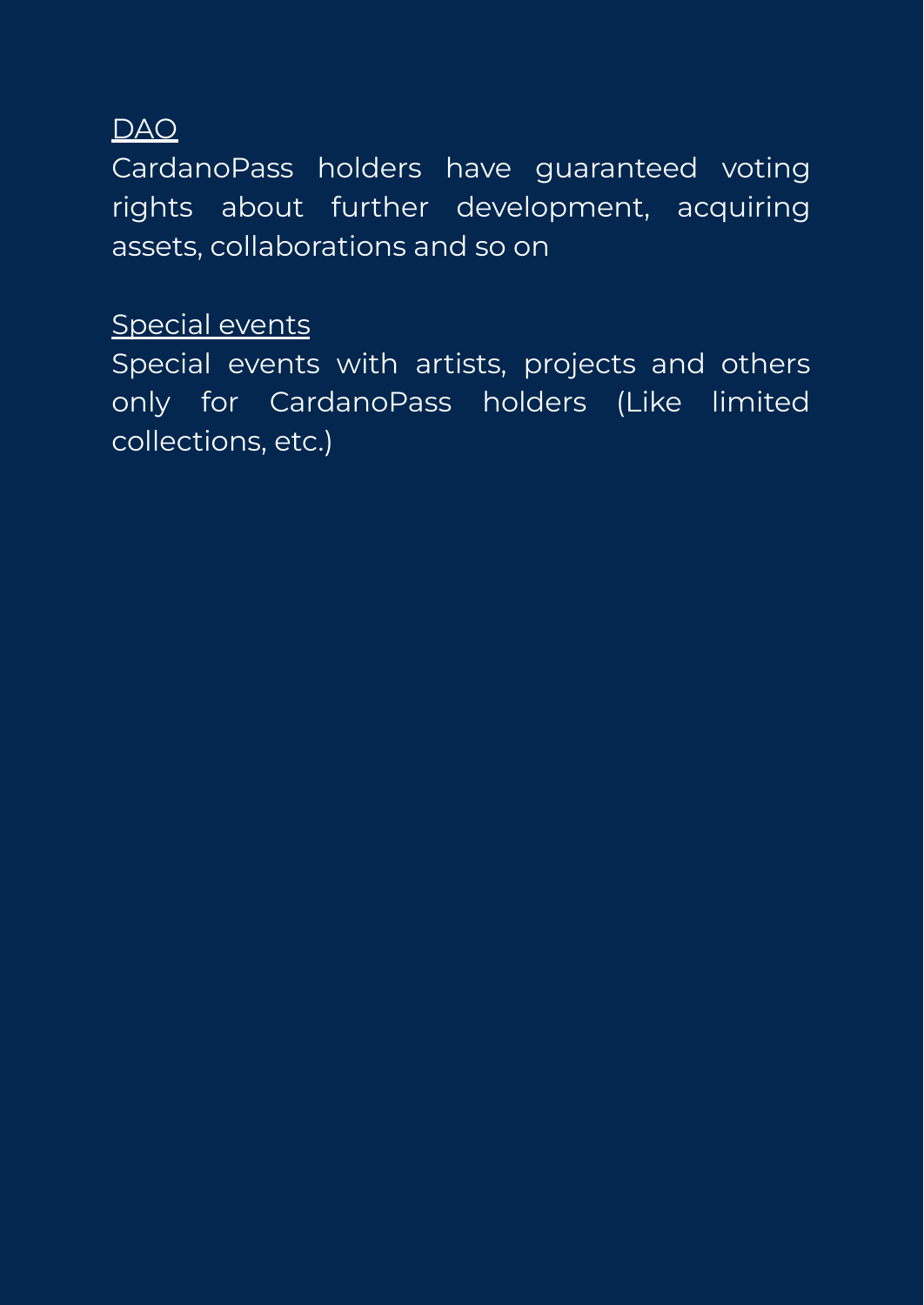#### DAO

CardanoPass holders have guaranteed voting rights about further development, acquiring assets, collaborations and so on

#### Special events

Special events with artists, projects and others only for CardanoPass holders (Like limited collections, etc.)